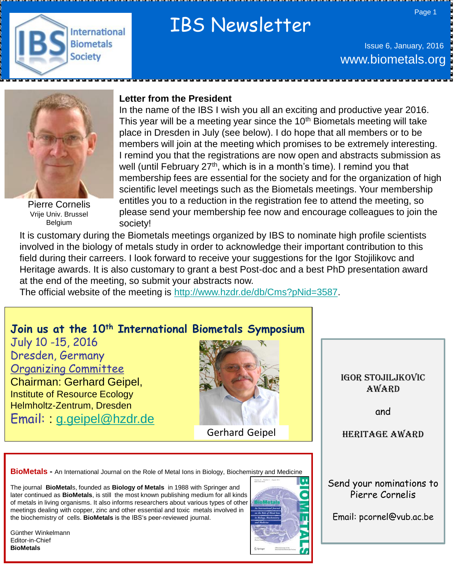

# IBS Newsletter

Issue 6, January, 2016 www.biometals.org



Pierre Cornelis Vrije Univ. Brussel Belgium

## **Letter from the President**

In the name of the IBS I wish you all an exciting and productive year 2016. This year will be a meeting year since the  $10<sup>th</sup>$  Biometals meeting will take place in Dresden in July (see below). I do hope that all members or to be members will join at the meeting which promises to be extremely interesting. I remind you that the registrations are now open and abstracts submission as well (until February 27<sup>th</sup>, which is in a month's time). I remind you that membership fees are essential for the society and for the organization of high scientific level meetings such as the Biometals meetings. Your membership entitles you to a reduction in the registration fee to attend the meeting, so please send your membership fee now and encourage colleagues to join the society!

It is customary during the Biometals meetings organized by IBS to nominate high profile scientists involved in the biology of metals study in order to acknowledge their important contribution to this field during their carreers. I look forward to receive your suggestions for the Igor Stojilikovc and Heritage awards. It is also customary to grant a best Post-doc and a best PhD presentation award at the end of the meeting, so submit your abstracts now.

The official website of the meeting is [http://www.hzdr.de/db/Cms?pNid=3587.](http://www.hzdr.de/db/Cms?pNid=3587)

# **Join us at the 10th International Biometals Symposium**

July 10 -15, 2016 Dresden, Germany Organizing Committee Chairman: Gerhard Geipel, Institute of Resource Ecology Helmholtz-Zentrum, Dresden Email: [g.geipel@hzdr.de](mailto:g.geipel@hzdr.de)



Igor Stojiljkovic award

and

Heritage award

**BioMetals -** An International Journal on the Role of Metal Ions in Biology, Biochemistry and Medicine

The journal **BioMetal**s, founded as **Biology of Metals** in 1988 with Springer and later continued as **BioMetals**, is still the most known publishing medium for all kinds of metals in living organisms. It also informs researchers about various types of other meetings dealing with copper, zinc and other essential and toxic metals involved in the biochemistry of cells. **BioMetals** is the IBS's peer-reviewed journal.

Günther Winkelmann Editor-in-Chief **BioMetals**



Send your nominations to Pierre Cornelis

Email: pcornel@vub.ac.be

Page 1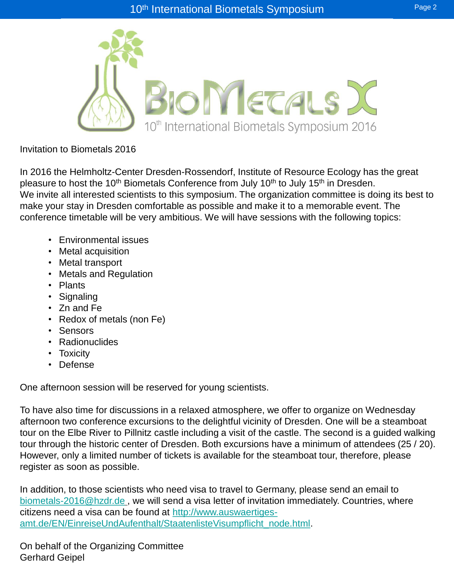

# Invitation to Biometals 2016

In 2016 the Helmholtz-Center Dresden-Rossendorf, Institute of Resource Ecology has the great pleasure to host the 10<sup>th</sup> Biometals Conference from July 10<sup>th</sup> to July 15<sup>th</sup> in Dresden. We invite all interested scientists to this symposium. The organization committee is doing its best to make your stay in Dresden comfortable as possible and make it to a memorable event. The conference timetable will be very ambitious. We will have sessions with the following topics:

- Environmental issues
- Metal acquisition
- Metal transport
- Metals and Regulation
- Plants
- Signaling
- Zn and Fe
- Redox of metals (non Fe)
- Sensors
- Radionuclides
- Toxicity
- Defense

One afternoon session will be reserved for young scientists.

To have also time for discussions in a relaxed atmosphere, we offer to organize on Wednesday afternoon two conference excursions to the delightful vicinity of Dresden. One will be a steamboat tour on the Elbe River to Pillnitz castle including a visit of the castle. The second is a guided walking tour through the historic center of Dresden. Both excursions have a minimum of attendees (25 / 20). However, only a limited number of tickets is available for the steamboat tour, therefore, please register as soon as possible.

In addition, to those scientists who need visa to travel to Germany, please send an email to [biometals-2016@hzdr.de](mailto:biometals-2016@hzdr.de), we will send a visa letter of invitation immediately. Countries, where citizens need a visa can be found at [http://www.auswaertiges](http://www.auswaertiges-amt.de/EN/EinreiseUndAufenthalt/StaatenlisteVisumpflicht_node.html)[amt.de/EN/EinreiseUndAufenthalt/StaatenlisteVisumpflicht\\_node.html.](http://www.auswaertiges-amt.de/EN/EinreiseUndAufenthalt/StaatenlisteVisumpflicht_node.html)

On behalf of the Organizing Committee Gerhard Geipel